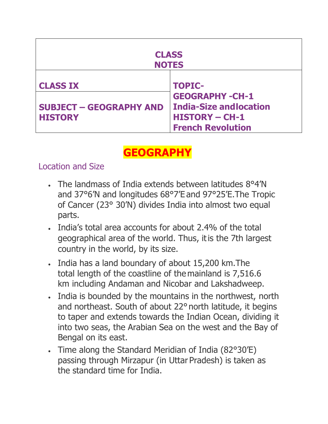| <b>CLASS</b><br><b>NOTES</b>                                        |                                                                                                                               |  |  |  |
|---------------------------------------------------------------------|-------------------------------------------------------------------------------------------------------------------------------|--|--|--|
| <b>CLASS IX</b><br><b>SUBJECT - GEOGRAPHY AND</b><br><b>HISTORY</b> | <b>TOPIC-</b><br><b>GEOGRAPHY-CH-1</b><br><b>India-Size and location</b><br><b>HISTORY - CH-1</b><br><b>French Revolution</b> |  |  |  |

# **GEOGRAPHY**

#### Location and Size

- The landmass of India extends between latitudes 8°4'N and 37°6'N and longitudes 68°7'E and 97°25'E.The Tropic of Cancer (23° 30'N) divides India into almost two equal parts.
- India's total area accounts for about 2.4% of the total geographical area of the world. Thus, itis the 7th largest country in the world, by its size.
- India has a land boundary of about 15,200 km.The total length of the coastline of the mainland is 7,516.6 km including Andaman and Nicobar and Lakshadweep.
- India is bounded by the mountains in the northwest, north and northeast. South of about 22° north latitude, it begins to taper and extends towards the Indian Ocean, dividing it into two seas, the Arabian Sea on the west and the Bay of Bengal on its east.
- Time along the Standard Meridian of India (82°30'E) passing through Mirzapur (in Uttar Pradesh) is taken as the standard time for India.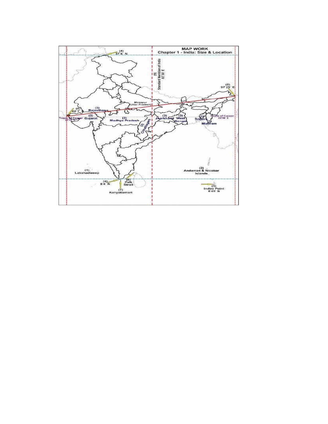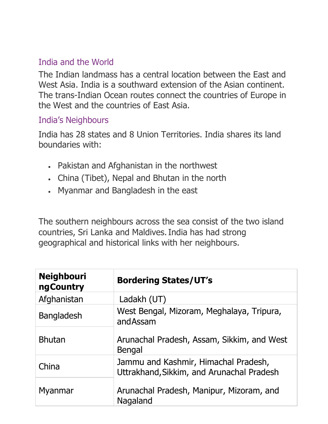## India and the World

The Indian landmass has a central location between the East and West Asia. India is a southward extension of the Asian continent. The trans-Indian Ocean routes connect the countries of Europe in the West and the countries of East Asia.

#### India's Neighbours

India has 28 states and 8 Union Territories. India shares its land boundaries with:

- Pakistan and Afghanistan in the northwest
- China (Tibet), Nepal and Bhutan in the north
- Myanmar and Bangladesh in the east

The southern neighbours across the sea consist of the two island countries, Sri Lanka and Maldives. India has had strong geographical and historical links with her neighbours.

| <b>Neighbouri</b><br><b>ngCountry</b> | <b>Bordering States/UT's</b>                                                      |  |  |
|---------------------------------------|-----------------------------------------------------------------------------------|--|--|
| Afghanistan                           | Ladakh (UT)                                                                       |  |  |
| <b>Bangladesh</b>                     | West Bengal, Mizoram, Meghalaya, Tripura,<br>andAssam                             |  |  |
| <b>Bhutan</b>                         | Arunachal Pradesh, Assam, Sikkim, and West<br><b>Bengal</b>                       |  |  |
| China                                 | Jammu and Kashmir, Himachal Pradesh,<br>Uttrakhand, Sikkim, and Arunachal Pradesh |  |  |
| Myanmar                               | Arunachal Pradesh, Manipur, Mizoram, and<br>Nagaland                              |  |  |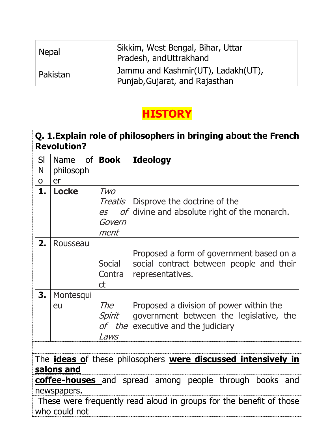| <b>Nepal</b> | Sikkim, West Bengal, Bihar, Uttar<br>Pradesh, and Uttrakhand         |
|--------------|----------------------------------------------------------------------|
| Pakistan     | Jammu and Kashmir(UT), Ladakh(UT),<br>Punjab, Gujarat, and Rajasthan |

# **HISTORY**

## **Q. 1.Explain role of philosophers in bringing about the French Revolution?**

| SI<br>N<br>O | <b>Name</b><br>philosoph<br>er | of   <b>Book</b>                       | <b>Ideology</b>                                                                                                   |
|--------------|--------------------------------|----------------------------------------|-------------------------------------------------------------------------------------------------------------------|
| 1.           | <b>Locke</b>                   | Two<br>Treatis<br>es<br>Govern<br>ment | Disprove the doctrine of the<br>of divine and absolute right of the monarch.                                      |
| 2.           | Rousseau                       | Social<br>Contra<br>ct                 | Proposed a form of government based on a<br>social contract between people and their<br>representatives.          |
| 3.           | Montesqui<br>eu                | The<br>Spirit<br>of the<br><i>Laws</i> | Proposed a division of power within the<br>government between the legislative, the<br>executive and the judiciary |

The **ideas o**f these philosophers **were discussed intensively in salons and** 

**coffee-houses** and spread among people through books and newspapers.

 These were frequently read aloud in groups for the benefit of those who could not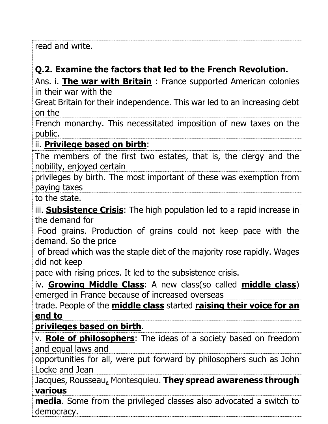| read and '<br>write. |  |  |
|----------------------|--|--|
|                      |  |  |

### **Q.2. Examine the factors that led to the French Revolution.**

Ans. i. **The war with Britain** : France supported American colonies in their war with the

Great Britain for their independence. This war led to an increasing debt on the

French monarchy. This necessitated imposition of new taxes on the public.

#### ii. **Privilege based on birth**:

The members of the first two estates, that is, the clergy and the nobility, enjoyed certain

privileges by birth. The most important of these was exemption from paying taxes

to the state.

iii. **Subsistence Crisis**: The high population led to a rapid increase in the demand for

 Food grains. Production of grains could not keep pace with the demand. So the price

 of bread which was the staple diet of the majority rose rapidly. Wages did not keep

pace with rising prices. It led to the subsistence crisis.

iv. **Growing Middle Class**: A new class(so called **middle class**) emerged in France because of increased overseas

trade. People of the **middle class** started **raising their voice for an end to**

**privileges based on birth**.

v. **Role of philosophers**: The ideas of a society based on freedom and equal laws and

opportunities for all, were put forward by philosophers such as John Locke and Jean

Jacques, Rousseau**,** Montesquieu. **They spread awareness through various**

**media**. Some from the privileged classes also advocated a switch to democracy.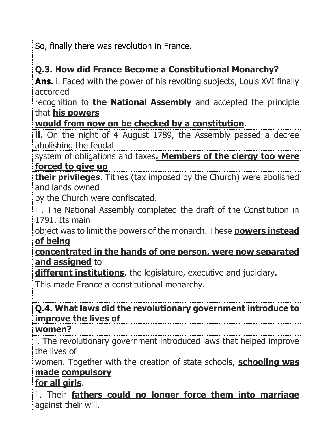So, finally there was revolution in France.

## **Q.3. How did France Become a Constitutional Monarchy?**

**Ans.** i. Faced with the power of his revolting subjects, Louis XVI finally accorded

recognition to **the National Assembly** and accepted the principle that **his powers**

**would from now on be checked by a constitution**.

**ii.** On the night of 4 August 1789, the Assembly passed a decree abolishing the feudal

system of obligations and taxes**. Members of the clergy too were forced to give up**

**their privileges**. Tithes (tax imposed by the Church) were abolished and lands owned

by the Church were confiscated.

iii. The National Assembly completed the draft of the Constitution in 1791. Its main

object was to limit the powers of the monarch. These **powers instead of being**

**concentrated in the hands of one person, were now separated and assigned** to

**different institutions**, the legislature, executive and judiciary.

This made France a constitutional monarchy.

### **Q.4. What laws did the revolutionary government introduce to improve the lives of**

#### **women?**

i. The revolutionary government introduced laws that helped improve the lives of

women. Together with the creation of state schools, **schooling was made compulsory**

## **for all girls**.

ii. Their **fathers could no longer force them into marriage** against their will.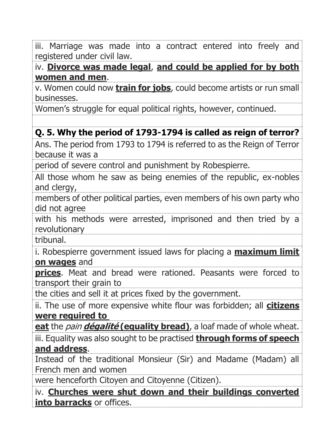iii. Marriage was made into a contract entered into freely and registered under civil law.

iv. **Divorce was made legal**, **and could be applied for by both women and men**.

v. Women could now **train for jobs**, could become artists or run small businesses.

Women's struggle for equal political rights, however, continued.

## **Q. 5. Why the period of 1793-1794 is called as reign of terror?**

Ans. The period from 1793 to 1794 is referred to as the Reign of Terror because it was a

period of severe control and punishment by Robespierre.

All those whom he saw as being enemies of the republic, ex-nobles and clergy,

members of other political parties, even members of his own party who did not agree

with his methods were arrested, imprisoned and then tried by a revolutionary

tribunal.

i. Robespierre government issued laws for placing a **maximum limit on wages** and

**prices**. Meat and bread were rationed. Peasants were forced to transport their grain to

the cities and sell it at prices fixed by the government.

ii. The use of more expensive white flour was forbidden; all **citizens were required to** 

**eat** the pain **dégalité (equality bread)**, a loaf made of whole wheat.

iii. Equality was also sought to be practised **through forms of speech and address**.

Instead of the traditional Monsieur (Sir) and Madame (Madam) all French men and women

were henceforth Citoyen and Citoyenne (Citizen).

iv. **Churches were shut down and their buildings converted into barracks** or offices.